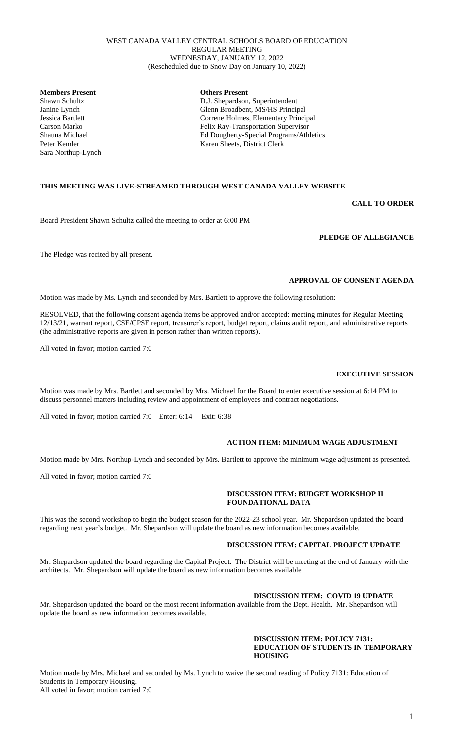#### WEST CANADA VALLEY CENTRAL SCHOOLS BOARD OF EDUCATION REGULAR MEETING WEDNESDAY, JANUARY 12, 2022 (Rescheduled due to Snow Day on January 10, 2022)

**Members Present**<br> **Others Present**<br> **OUT** Shawn Schultz<br> **OUT** Shawn Schultz

Sara Northup-Lynch

D.J. Shepardson, Superintendent Janine Lynch Glenn Broadbent, MS/HS Principal Correne Holmes, Elementary Principal Carson Marko Felix Ray-Transportation Supervisor Shauna Michael Ed Dougherty-Special Programs/Athletics Peter Kemler Karen Sheets, District Clerk

### **THIS MEETING WAS LIVE-STREAMED THROUGH WEST CANADA VALLEY WEBSITE**

### **CALL TO ORDER**

Board President Shawn Schultz called the meeting to order at 6:00 PM

The Pledge was recited by all present.

# **APPROVAL OF CONSENT AGENDA**

**PLEDGE OF ALLEGIANCE**

Motion was made by Ms. Lynch and seconded by Mrs. Bartlett to approve the following resolution:

RESOLVED, that the following consent agenda items be approved and/or accepted: meeting minutes for Regular Meeting 12/13/21, warrant report, CSE/CPSE report, treasurer's report, budget report, claims audit report, and administrative reports (the administrative reports are given in person rather than written reports).

All voted in favor; motion carried 7:0

Motion was made by Mrs. Bartlett and seconded by Mrs. Michael for the Board to enter executive session at 6:14 PM to discuss personnel matters including review and appointment of employees and contract negotiations.

All voted in favor; motion carried 7:0 Enter: 6:14 Exit: 6:38

#### **ACTION ITEM: MINIMUM WAGE ADJUSTMENT**

Motion made by Mrs. Northup-Lynch and seconded by Mrs. Bartlett to approve the minimum wage adjustment as presented.

All voted in favor; motion carried 7:0

#### **DISCUSSION ITEM: BUDGET WORKSHOP II FOUNDATIONAL DATA**

This was the second workshop to begin the budget season for the 2022-23 school year. Mr. Shepardson updated the board regarding next year's budget. Mr. Shepardson will update the board as new information becomes available.

#### **DISCUSSION ITEM: CAPITAL PROJECT UPDATE**

Mr. Shepardson updated the board regarding the Capital Project. The District will be meeting at the end of January with the architects. Mr. Shepardson will update the board as new information becomes available

### **DISCUSSION ITEM: COVID 19 UPDATE**

Mr. Shepardson updated the board on the most recent information available from the Dept. Health. Mr. Shepardson will update the board as new information becomes available.

#### **DISCUSSION ITEM: POLICY 7131: EDUCATION OF STUDENTS IN TEMPORARY HOUSING**

## **EXECUTIVE SESSION**